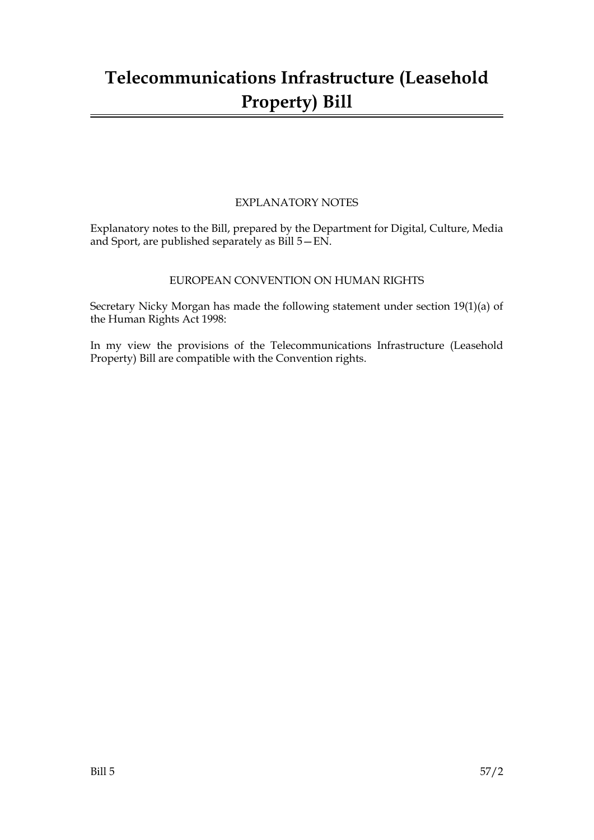## **Telecommunications Infrastructure (Leasehold Property) Bill**

### EXPLANATORY NOTES

Explanatory notes to the Bill, prepared by the Department for Digital, Culture, Media and Sport, are published separately as Bill 5—EN.

#### EUROPEAN CONVENTION ON HUMAN RIGHTS

Secretary Nicky Morgan has made the following statement under section 19(1)(a) of the Human Rights Act 1998:

In my view the provisions of the Telecommunications Infrastructure (Leasehold Property) Bill are compatible with the Convention rights.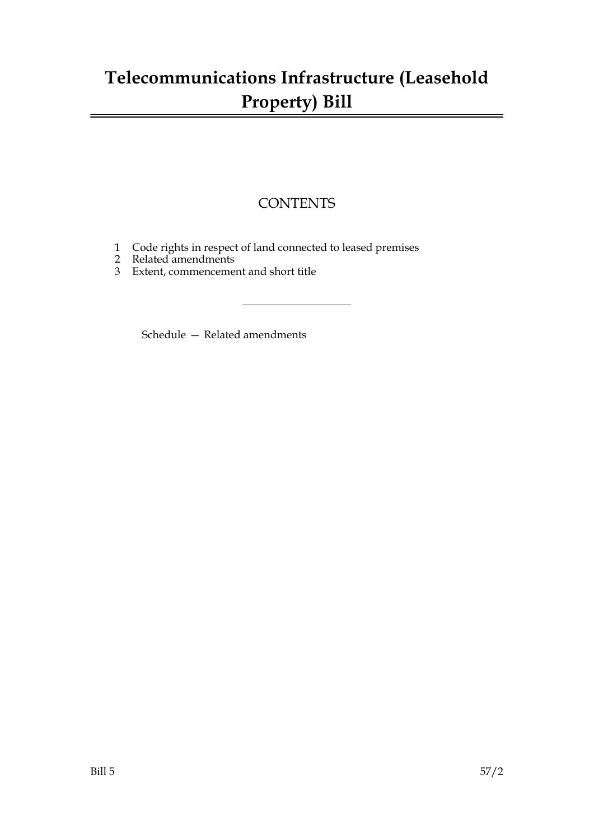## **Telecommunications Infrastructure (Leasehold Property) Bill**

### **CONTENTS**

- 1 Code rights in respect of land connected to leased premises
- 2 Related amendments
- 3 Extent, commencement and short title

Schedule — Related amendments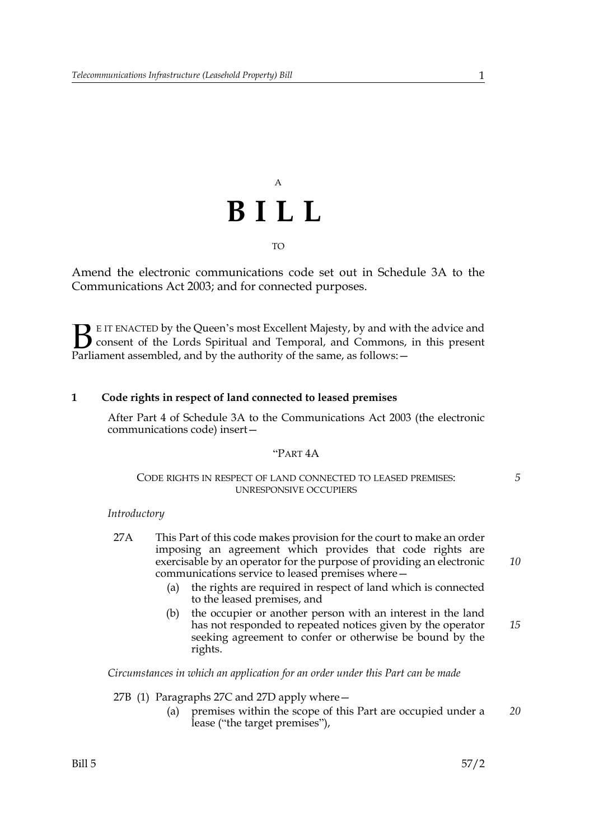# A **BILL** TO

Amend the electronic communications code set out in Schedule 3A to the Communications Act 2003; and for connected purposes.

E IT ENACTED by the Queen's most Excellent Majesty, by and with the advice and consent of the Lords Spiritual and Temporal, and Commons, in this present **B** E IT ENACTED by the Queen's most Excellent Majesty, by and with consent of the Lords Spiritual and Temporal, and Commons, Parliament assembled, and by the authority of the same, as follows:

#### **1 Code rights in respect of land connected to leased premises**

After Part 4 of Schedule 3A to the Communications Act 2003 (the electronic communications code) insert—

#### "PART 4A

#### CODE RIGHTS IN RESPECT OF LAND CONNECTED TO LEASED PREMISES: UNRESPONSIVE OCCUPIERS

#### *Introductory*

- 27A This Part of this code makes provision for the court to make an order imposing an agreement which provides that code rights are exercisable by an operator for the purpose of providing an electronic communications service to leased premises where—
	- (a) the rights are required in respect of land which is connected to the leased premises, and
	- (b) the occupier or another person with an interest in the land has not responded to repeated notices given by the operator seeking agreement to confer or otherwise be bound by the rights. *15*

*Circumstances in which an application for an order under this Part can be made*

27B (1) Paragraphs 27C and 27D apply where—

(a) premises within the scope of this Part are occupied under a lease ("the target premises"), *20*

*5*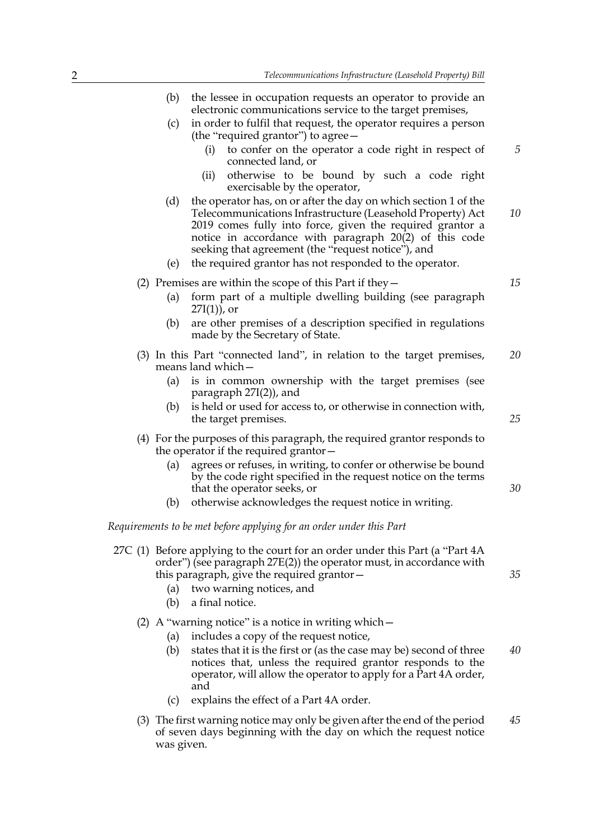(b) the lessee in occupation requests an operator to provide an

|            | electronic communications service to the target premises,                                                                                                                                                                                                                                                    |    |
|------------|--------------------------------------------------------------------------------------------------------------------------------------------------------------------------------------------------------------------------------------------------------------------------------------------------------------|----|
| (c)        | in order to fulfil that request, the operator requires a person<br>(the "required grantor") to agree -                                                                                                                                                                                                       |    |
|            | to confer on the operator a code right in respect of<br>(i)<br>connected land, or                                                                                                                                                                                                                            | 5  |
|            | otherwise to be bound by such a code right<br>(ii)<br>exercisable by the operator,                                                                                                                                                                                                                           |    |
| (d)        | the operator has, on or after the day on which section 1 of the<br>Telecommunications Infrastructure (Leasehold Property) Act<br>2019 comes fully into force, given the required grantor a<br>notice in accordance with paragraph $20(2)$ of this code<br>seeking that agreement (the "request notice"), and | 10 |
| (e)        | the required grantor has not responded to the operator.                                                                                                                                                                                                                                                      |    |
|            | (2) Premises are within the scope of this Part if they $-$                                                                                                                                                                                                                                                   | 15 |
| (a)        | form part of a multiple dwelling building (see paragraph<br>$27I(1)$ , or                                                                                                                                                                                                                                    |    |
| (b)        | are other premises of a description specified in regulations<br>made by the Secretary of State.                                                                                                                                                                                                              |    |
|            | (3) In this Part "connected land", in relation to the target premises,<br>means land which-                                                                                                                                                                                                                  | 20 |
| (a)        | is in common ownership with the target premises (see<br>paragraph $27I(2)$ ), and                                                                                                                                                                                                                            |    |
| (b)        | is held or used for access to, or otherwise in connection with,<br>the target premises.                                                                                                                                                                                                                      | 25 |
|            | (4) For the purposes of this paragraph, the required grantor responds to<br>the operator if the required grantor -                                                                                                                                                                                           |    |
| (a)        | agrees or refuses, in writing, to confer or otherwise be bound<br>by the code right specified in the request notice on the terms<br>that the operator seeks, or                                                                                                                                              | 30 |
| (b)        | otherwise acknowledges the request notice in writing.                                                                                                                                                                                                                                                        |    |
|            | Requirements to be met before applying for an order under this Part                                                                                                                                                                                                                                          |    |
| (a)<br>(b) | 27C (1) Before applying to the court for an order under this Part (a "Part 4A<br>order") (see paragraph 27E(2)) the operator must, in accordance with<br>this paragraph, give the required grantor –<br>two warning notices, and<br>a final notice.                                                          | 35 |
| (a)        | (2) A "warning notice" is a notice in writing which $-$<br>includes a copy of the request notice,                                                                                                                                                                                                            |    |
| (b)        | states that it is the first or (as the case may be) second of three                                                                                                                                                                                                                                          | 40 |

- (b) states that it is the first or (as the case may be) second of three notices that, unless the required grantor responds to the operator, will allow the operator to apply for a Part 4A order, and *40*
- (c) explains the effect of a Part 4A order.
- (3) The first warning notice may only be given after the end of the period of seven days beginning with the day on which the request notice was given. *45*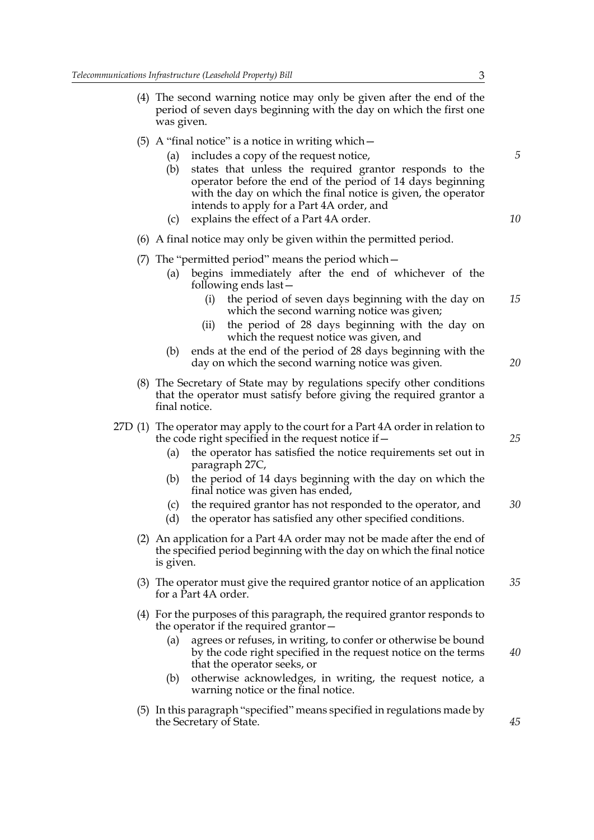| (4) The second warning notice may only be given after the end of the |
|----------------------------------------------------------------------|
| period of seven days beginning with the day on which the first one   |
| was given.                                                           |

- (5) A "final notice" is a notice in writing which—
	- (a) includes a copy of the request notice,
	- (b) states that unless the required grantor responds to the operator before the end of the period of 14 days beginning with the day on which the final notice is given, the operator intends to apply for a Part 4A order, and
	- (c) explains the effect of a Part 4A order.
- (6) A final notice may only be given within the permitted period.
- (7) The "permitted period" means the period which—
	- (a) begins immediately after the end of whichever of the following ends last—
		- (i) the period of seven days beginning with the day on which the second warning notice was given; *15*
		- (ii) the period of 28 days beginning with the day on which the request notice was given, and
	- (b) ends at the end of the period of 28 days beginning with the day on which the second warning notice was given.
- (8) The Secretary of State may by regulations specify other conditions that the operator must satisfy before giving the required grantor a final notice.
- 27D (1) The operator may apply to the court for a Part 4A order in relation to the code right specified in the request notice if—
	- (a) the operator has satisfied the notice requirements set out in paragraph 27C,
	- (b) the period of 14 days beginning with the day on which the final notice was given has ended,
	- (c) the required grantor has not responded to the operator, and *30*
	- (d) the operator has satisfied any other specified conditions.
	- (2) An application for a Part 4A order may not be made after the end of the specified period beginning with the day on which the final notice is given.
	- (3) The operator must give the required grantor notice of an application for a Part 4A order. *35*
	- (4) For the purposes of this paragraph, the required grantor responds to the operator if the required grantor—
		- (a) agrees or refuses, in writing, to confer or otherwise be bound by the code right specified in the request notice on the terms that the operator seeks, or *40*
		- (b) otherwise acknowledges, in writing, the request notice, a warning notice or the final notice.
	- (5) In this paragraph "specified" means specified in regulations made by the Secretary of State.

*5*

*10*

*20*

*25*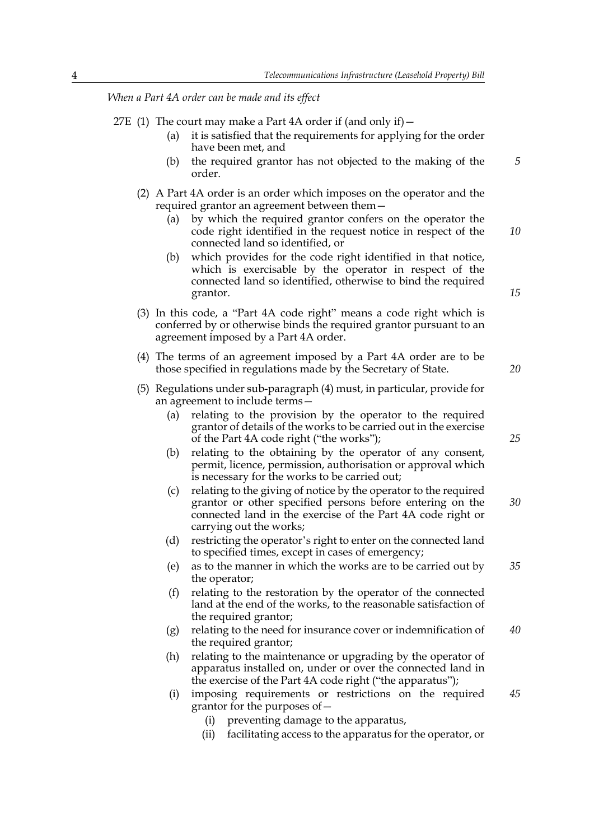*When a Part 4A order can be made and its effect*

- 27E (1) The court may make a Part 4A order if (and only if)  $-$ 
	- (a) it is satisfied that the requirements for applying for the order have been met, and
	- (b) the required grantor has not objected to the making of the order.
	- (2) A Part 4A order is an order which imposes on the operator and the required grantor an agreement between them—
		- (a) by which the required grantor confers on the operator the code right identified in the request notice in respect of the connected land so identified, or *10*
		- (b) which provides for the code right identified in that notice, which is exercisable by the operator in respect of the connected land so identified, otherwise to bind the required grantor.
	- (3) In this code, a "Part 4A code right" means a code right which is conferred by or otherwise binds the required grantor pursuant to an agreement imposed by a Part 4A order.
	- (4) The terms of an agreement imposed by a Part 4A order are to be those specified in regulations made by the Secretary of State.
	- (5) Regulations under sub-paragraph (4) must, in particular, provide for an agreement to include terms—
		- (a) relating to the provision by the operator to the required grantor of details of the works to be carried out in the exercise of the Part 4A code right ("the works");
		- (b) relating to the obtaining by the operator of any consent, permit, licence, permission, authorisation or approval which is necessary for the works to be carried out;
		- (c) relating to the giving of notice by the operator to the required grantor or other specified persons before entering on the connected land in the exercise of the Part 4A code right or carrying out the works; *30*
		- (d) restricting the operator's right to enter on the connected land to specified times, except in cases of emergency;
		- (e) as to the manner in which the works are to be carried out by the operator; *35*
		- (f) relating to the restoration by the operator of the connected land at the end of the works, to the reasonable satisfaction of the required grantor;
		- (g) relating to the need for insurance cover or indemnification of the required grantor; *40*
		- (h) relating to the maintenance or upgrading by the operator of apparatus installed on, under or over the connected land in the exercise of the Part 4A code right ("the apparatus");
		- (i) imposing requirements or restrictions on the required grantor for the purposes of— *45*
			- (i) preventing damage to the apparatus,
			- (ii) facilitating access to the apparatus for the operator, or

*20*

*25*

*15*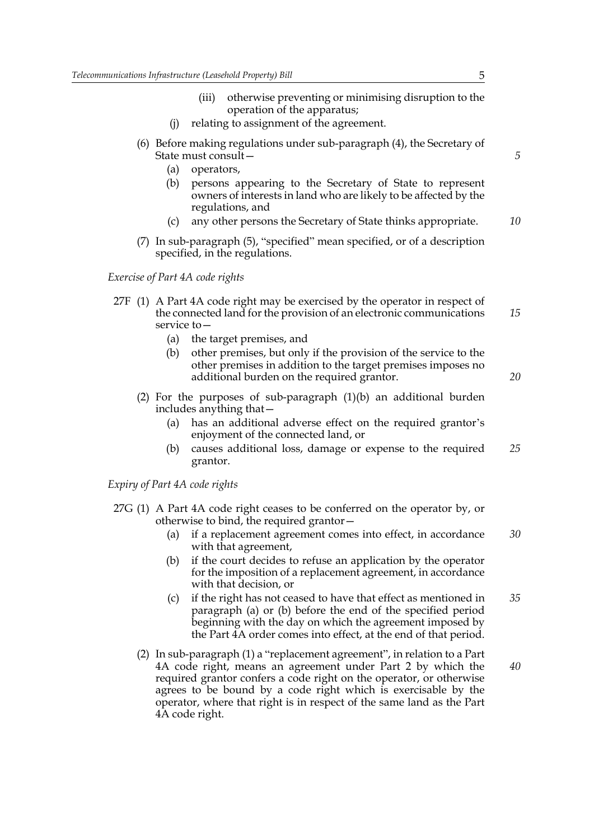- (iii) otherwise preventing or minimising disruption to the operation of the apparatus;
- (j) relating to assignment of the agreement.
- (6) Before making regulations under sub-paragraph (4), the Secretary of State must consult—
	- (a) operators,
	- (b) persons appearing to the Secretary of State to represent owners of interests in land who are likely to be affected by the regulations, and
	- (c) any other persons the Secretary of State thinks appropriate. *10*
- (7) In sub-paragraph (5), "specified" mean specified, or of a description specified, in the regulations.

*Exercise of Part 4A code rights*

- 27F (1) A Part 4A code right may be exercised by the operator in respect of the connected land for the provision of an electronic communications service to— *15*
	- (a) the target premises, and
	- (b) other premises, but only if the provision of the service to the other premises in addition to the target premises imposes no additional burden on the required grantor.
	- (2) For the purposes of sub-paragraph (1)(b) an additional burden includes anything that—
		- (a) has an additional adverse effect on the required grantor's enjoyment of the connected land, or
		- (b) causes additional loss, damage or expense to the required grantor. *25*

*Expiry of Part 4A code rights*

- 27G (1) A Part 4A code right ceases to be conferred on the operator by, or otherwise to bind, the required grantor—
	- (a) if a replacement agreement comes into effect, in accordance with that agreement, *30*
	- (b) if the court decides to refuse an application by the operator for the imposition of a replacement agreement, in accordance with that decision, or
	- (c) if the right has not ceased to have that effect as mentioned in paragraph (a) or (b) before the end of the specified period beginning with the day on which the agreement imposed by the Part 4A order comes into effect, at the end of that period. *35*
	- (2) In sub-paragraph (1) a "replacement agreement", in relation to a Part 4A code right, means an agreement under Part 2 by which the required grantor confers a code right on the operator, or otherwise agrees to be bound by a code right which is exercisable by the operator, where that right is in respect of the same land as the Part 4A code right. *40*

*5*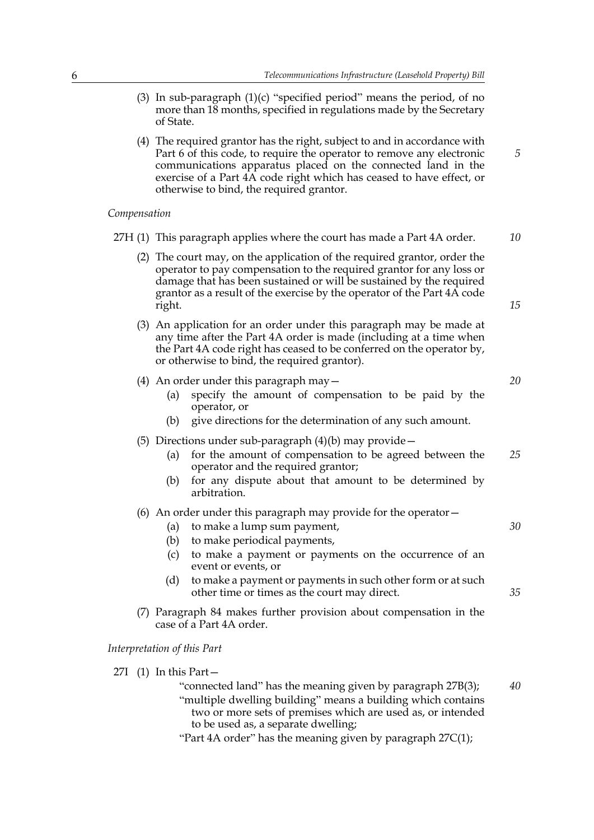*5*

- (3) In sub-paragraph (1)(c) "specified period" means the period, of no more than 18 months, specified in regulations made by the Secretary of State.
- (4) The required grantor has the right, subject to and in accordance with Part 6 of this code, to require the operator to remove any electronic communications apparatus placed on the connected land in the exercise of a Part 4A code right which has ceased to have effect, or otherwise to bind, the required grantor.

#### *Compensation*

| $C$ <i>ompensation</i> |                                                                                                                                                                                                                                                                                                                                                              |          |  |
|------------------------|--------------------------------------------------------------------------------------------------------------------------------------------------------------------------------------------------------------------------------------------------------------------------------------------------------------------------------------------------------------|----------|--|
|                        | 27H (1) This paragraph applies where the court has made a Part 4A order.                                                                                                                                                                                                                                                                                     |          |  |
|                        | (2) The court may, on the application of the required grantor, order the<br>operator to pay compensation to the required grantor for any loss or<br>damage that has been sustained or will be sustained by the required<br>grantor as a result of the exercise by the operator of the Part 4A code<br>right.                                                 |          |  |
|                        | (3) An application for an order under this paragraph may be made at<br>any time after the Part 4A order is made (including at a time when<br>the Part 4A code right has ceased to be conferred on the operator by,<br>or otherwise to bind, the required grantor).                                                                                           |          |  |
|                        | (4) An order under this paragraph may $-$<br>specify the amount of compensation to be paid by the<br>(a)<br>operator, or<br>give directions for the determination of any such amount.<br>(b)                                                                                                                                                                 | 20       |  |
|                        | (5) Directions under sub-paragraph $(4)(b)$ may provide -<br>for the amount of compensation to be agreed between the<br>(a)<br>operator and the required grantor;<br>for any dispute about that amount to be determined by<br>(b)<br>arbitration.                                                                                                            | 25       |  |
|                        | (6) An order under this paragraph may provide for the operator $-$<br>to make a lump sum payment,<br>(a)<br>to make periodical payments,<br>(b)<br>to make a payment or payments on the occurrence of an<br>(c)<br>event or events, or<br>(d)<br>to make a payment or payments in such other form or at such<br>other time or times as the court may direct. | 30<br>35 |  |
|                        | (7) Paragraph 84 makes further provision about compensation in the<br>case of a Part 4A order.                                                                                                                                                                                                                                                               |          |  |
|                        | Interpretation of this Part                                                                                                                                                                                                                                                                                                                                  |          |  |
|                        | 27I (1) In this Part-<br>"connected land" has the meaning given by paragraph 27B(3);<br>"multiple dwelling building" means a building which contains                                                                                                                                                                                                         | 40       |  |

- "multiple dwelling building" means a building which contains two or more sets of premises which are used as, or intended to be used as, a separate dwelling;
- "Part 4A order" has the meaning given by paragraph 27C(1);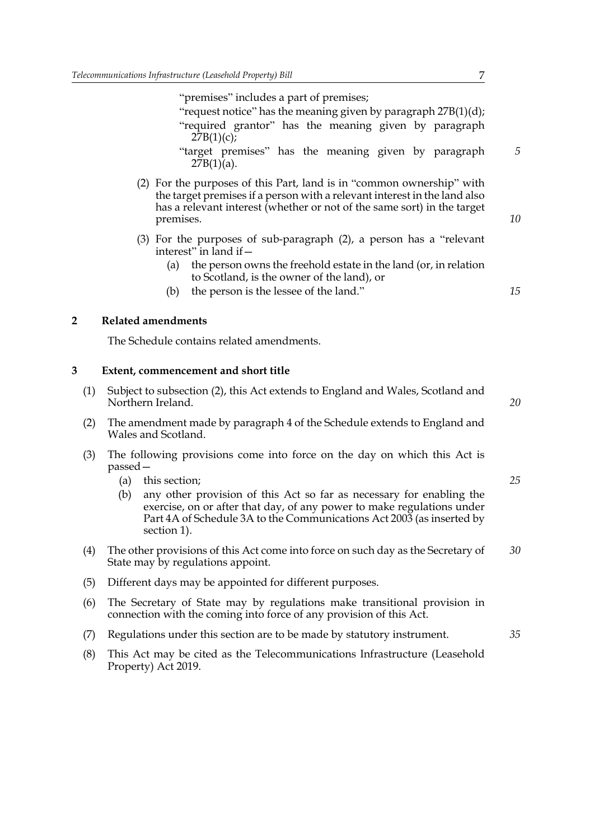"premises" includes a part of premises;

- "request notice" has the meaning given by paragraph 27B(1)(d); "required grantor" has the meaning given by paragraph  $27B(1)(c);$
- "target premises" has the meaning given by paragraph  $27B(1)(a)$ .
- (2) For the purposes of this Part, land is in "common ownership" with the target premises if a person with a relevant interest in the land also has a relevant interest (whether or not of the same sort) in the target premises.
- (3) For the purposes of sub-paragraph (2), a person has a "relevant interest" in land if—
	- (a) the person owns the freehold estate in the land (or, in relation to Scotland, is the owner of the land), or
	- (b) the person is the lessee of the land."

#### **2 Related amendments**

The Schedule contains related amendments.

#### **3 Extent, commencement and short title**

- (1) Subject to subsection (2), this Act extends to England and Wales, Scotland and Northern Ireland.
- (2) The amendment made by paragraph 4 of the Schedule extends to England and Wales and Scotland.
- (3) The following provisions come into force on the day on which this Act is passed—
	- (a) this section;
	- (b) any other provision of this Act so far as necessary for enabling the exercise, on or after that day, of any power to make regulations under Part 4A of Schedule 3A to the Communications Act 2003 (as inserted by section 1).
- (4) The other provisions of this Act come into force on such day as the Secretary of State may by regulations appoint. *30*
- (5) Different days may be appointed for different purposes.
- (6) The Secretary of State may by regulations make transitional provision in connection with the coming into force of any provision of this Act.
- (7) Regulations under this section are to be made by statutory instrument.
- (8) This Act may be cited as the Telecommunications Infrastructure (Leasehold Property) Act 2019.

*5*

*10*

*15*

*25*

*35*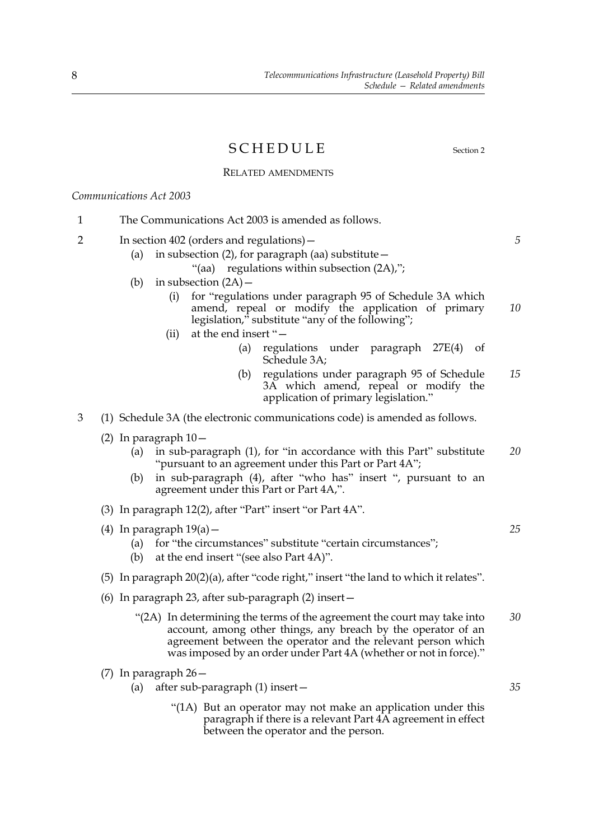### SCHEDULE Section 2

*5*

*25*

*35*

#### RELATED AMENDMENTS

*Communications Act 2003*

- 1 The Communications Act 2003 is amended as follows.
- 2 In section 402 (orders and regulations)—
	- (a) in subsection (2), for paragraph (aa) substitute—
		- "(aa) regulations within subsection (2A),";
	- (b) in subsection  $(2A)$ 
		- (i) for "regulations under paragraph 95 of Schedule 3A which amend, repeal or modify the application of primary legislation," substitute "any of the following"; *10*
		- (ii) at the end insert "—
			- (a) regulations under paragraph 27E(4) of Schedule 3A;
			- (b) regulations under paragraph 95 of Schedule 3A which amend, repeal or modify the application of primary legislation." *15*
- 3 (1) Schedule 3A (the electronic communications code) is amended as follows.
	- (2) In paragraph 10—
		- (a) in sub-paragraph (1), for "in accordance with this Part" substitute "pursuant to an agreement under this Part or Part 4A"; *20*
		- (b) in sub-paragraph (4), after "who has" insert ", pursuant to an agreement under this Part or Part 4A,".
	- (3) In paragraph 12(2), after "Part" insert "or Part 4A".
	- (4) In paragraph  $19(a)$  -
		- (a) for "the circumstances" substitute "certain circumstances";
		- (b) at the end insert "(see also Part 4A)".
	- (5) In paragraph 20(2)(a), after "code right," insert "the land to which it relates".
	- (6) In paragraph 23, after sub-paragraph (2) insert—
		- "(2A) In determining the terms of the agreement the court may take into account, among other things, any breach by the operator of an agreement between the operator and the relevant person which was imposed by an order under Part 4A (whether or not in force)." *30*
	- (7) In paragraph 26—
		- (a) after sub-paragraph (1) insert—
			- "(1A) But an operator may not make an application under this paragraph if there is a relevant Part 4A agreement in effect between the operator and the person.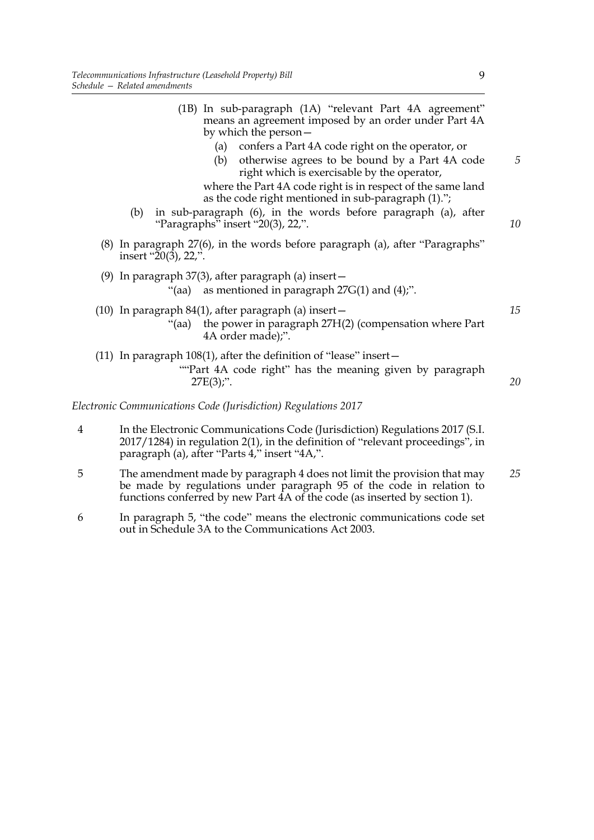|                | (1B) In sub-paragraph (1A) "relevant Part 4A agreement"<br>means an agreement imposed by an order under Part 4A<br>by which the person –                                                                                                                                                                                                                                                            |         |
|----------------|-----------------------------------------------------------------------------------------------------------------------------------------------------------------------------------------------------------------------------------------------------------------------------------------------------------------------------------------------------------------------------------------------------|---------|
|                | confers a Part 4A code right on the operator, or<br>(a)<br>otherwise agrees to be bound by a Part 4A code<br>(b)<br>right which is exercisable by the operator,<br>where the Part 4A code right is in respect of the same land<br>as the code right mentioned in sub-paragraph (1).";<br>in sub-paragraph (6), in the words before paragraph (a), after<br>(b)<br>"Paragraphs" insert "20(3), 22,". | 5<br>10 |
|                | (8) In paragraph 27(6), in the words before paragraph (a), after "Paragraphs"<br>insert " $20(3)$ , $22$ ,".                                                                                                                                                                                                                                                                                        |         |
|                | (9) In paragraph $37(3)$ , after paragraph (a) insert $-$<br>as mentioned in paragraph $27G(1)$ and $(4)$ ;".<br>$"$ (aa)                                                                                                                                                                                                                                                                           |         |
|                | $(10)$ In paragraph 84 $(1)$ , after paragraph $(a)$ insert –<br>the power in paragraph 27H(2) (compensation where Part<br>"(aa)<br>4A order made);".                                                                                                                                                                                                                                               | 15      |
|                | (11) In paragraph $108(1)$ , after the definition of "lease" insert $-$<br>"Part 4A code right" has the meaning given by paragraph<br>$27E(3)$ ;".                                                                                                                                                                                                                                                  | 20      |
|                | Electronic Communications Code (Jurisdiction) Regulations 2017                                                                                                                                                                                                                                                                                                                                      |         |
| $\overline{4}$ | In the Electronic Communications Code (Jurisdiction) Regulations 2017 (S.I.<br>2017/1284) in regulation 2(1), in the definition of "relevant proceedings", in<br>paragraph (a), after "Parts 4," insert "4A,".                                                                                                                                                                                      |         |
| 5              | The amendment made by paragraph 4 does not limit the provision that may<br>be made by regulations under paragraph 95 of the code in relation to                                                                                                                                                                                                                                                     | 25      |

6 In paragraph 5, "the code" means the electronic communications code set out in Schedule 3A to the Communications Act 2003.

functions conferred by new Part 4A of the code (as inserted by section 1).